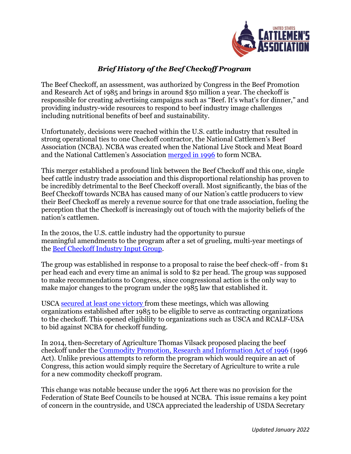

## *Brief History of the Beef Checkoff Program*

The Beef Checkoff, an assessment, was authorized by Congress in the Beef Promotion and Research Act of 1985 and brings in around \$50 million a year. The checkoff is responsible for creating advertising campaigns such as "Beef. It's what's for dinner," and providing industry-wide resources to respond to beef industry image challenges including nutritional benefits of beef and sustainability.

Unfortunately, decisions were reached within the U.S. cattle industry that resulted in strong operational ties to one Checkoff contractor, the National Cattlemen's Beef Association (NCBA). NCBA was created when the National Live Stock and Meat Board and the National Cattlemen's Association [merged in 1996](https://www.ncba.org/history.aspx) to form NCBA.

This merger established a profound link between the Beef Checkoff and this one, single beef cattle industry trade association and this disproportional relationship has proven to be incredibly detrimental to the Beef Checkoff overall. Most significantly, the bias of the Beef Checkoff towards NCBA has caused many of our Nation's cattle producers to view their Beef Checkoff as merely a revenue source for that one trade association, fueling the perception that the Checkoff is increasingly out of touch with the majority beliefs of the nation's cattlemen.

In the 2010s, the U.S. cattle industry had the opportunity to pursue meaningful amendments to the program after a set of grueling, multi-year meetings of the [Beef Checkoff Industry Input Group.](https://journalstar.com/business/agriculture/usda-asks-for-input-on-new-beef-checkoff-proposal/article_5011614d-5287-56e7-a1c7-bfc7b6402bda.html)

The group was established in response to a proposal to raise the beef check-off - from \$1 per head each and every time an animal is sold to \$2 per head. The group was supposed to make recommendations to Congress, since congressional action is the only way to make major changes to the program under the 1985 law that established it.

USCA [secured at least](https://mcusercontent.com/c35966bef9b816acff772766f/files/1a6f5d7d-113b-4603-9806-4e1491b3a712/Minneapolis_Checkoff_Consensus_Letter.pdf) one victory from these meetings, which was allowing organizations established after 1985 to be eligible to serve as contracting organizations to the checkoff. This opened eligibility to organizations such as USCA and RCALF-USA to bid against NCBA for checkoff funding.

In 2014, then-Secretary of Agriculture Thomas Vilsack proposed placing the beef checkoff under the [Commodity Promotion, Research and Information Act of 1996](https://mcusercontent.com/c35966bef9b816acff772766f/files/b3520406-7fa3-4f97-b58f-922f1770c627/Comparison_of_1985_Beef_Act_v_1996_Act.pdf) (1996 Act). Unlike previous attempts to reform the program which would require an act of Congress, this action would simply require the Secretary of Agriculture to write a rule for a new commodity checkoff program.

This change was notable because under the 1996 Act there was no provision for the Federation of State Beef Councils to be housed at NCBA. This issue remains a key point of concern in the countryside, and USCA appreciated the leadership of USDA Secretary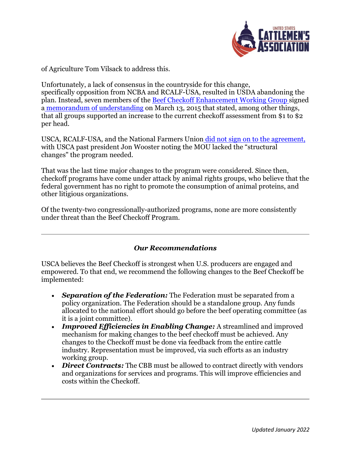

of Agriculture Tom Vilsack to address this.

Unfortunately, a lack of consensus in the countryside for this change, specifically opposition from NCBA and RCALF-USA, resulted in USDA abandoning the plan. Instead, seven members of the **Beef Checkoff Enhancement Working Group** signed a [memorandum of understanding](https://www.beefmagazine.com/cattle-industry-structure/beef-organizations-agree-beef-checkoff-enhancements) on March 13, 2015 that stated, among other things, that all groups supported an increase to the current checkoff assessment from \$1 to \$2 per head.

USCA, RCALF-USA, and the National Farmers Union [did not sign on to the agreement,](https://www.farmanddairy.com/news/beef-checkoff-group-agrees-on-proposed-changes/246394.html) with USCA past president Jon Wooster noting the MOU lacked the "structural changes" the program needed.

That was the last time major changes to the program were considered. Since then, checkoff programs have come under attack by animal rights groups, who believe that the federal government has no right to promote the consumption of animal proteins, and other litigious organizations.

Of the twenty-two congressionally-authorized programs, none are more consistently under threat than the Beef Checkoff Program.

## *Our Recommendations*

USCA believes the Beef Checkoff is strongest when U.S. producers are engaged and empowered. To that end, we recommend the following changes to the Beef Checkoff be implemented:

- *Separation of the Federation:* The Federation must be separated from a policy organization. The Federation should be a standalone group. Any funds allocated to the national effort should go before the beef operating committee (as it is a joint committee).
- *Improved Efficiencies in Enabling Change:* A streamlined and improved mechanism for making changes to the beef checkoff must be achieved. Any changes to the Checkoff must be done via feedback from the entire cattle industry. Representation must be improved, via such efforts as an industry working group.
- *Direct Contracts:* The CBB must be allowed to contract directly with vendors and organizations for services and programs. This will improve efficiencies and costs within the Checkoff.